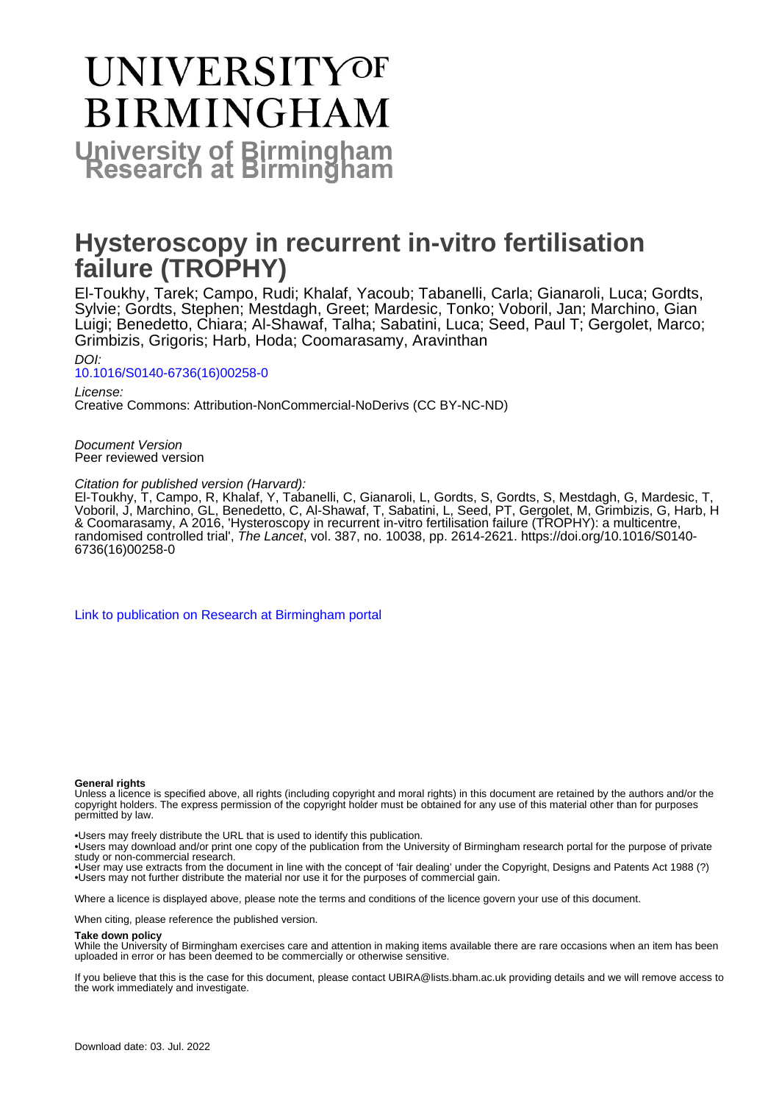# **UNIVERSITYOF BIRMINGHAM University of Birmingham**

# **Hysteroscopy in recurrent in-vitro fertilisation failure (TROPHY)**

El-Toukhy, Tarek; Campo, Rudi; Khalaf, Yacoub; Tabanelli, Carla; Gianaroli, Luca; Gordts, Sylvie; Gordts, Stephen; Mestdagh, Greet; Mardesic, Tonko; Voboril, Jan; Marchino, Gian Luigi; Benedetto, Chiara; Al-Shawaf, Talha; Sabatini, Luca; Seed, Paul T; Gergolet, Marco; Grimbizis, Grigoris; Harb, Hoda; Coomarasamy, Aravinthan

DOI: [10.1016/S0140-6736\(16\)00258-0](https://doi.org/10.1016/S0140-6736(16)00258-0)

License: Creative Commons: Attribution-NonCommercial-NoDerivs (CC BY-NC-ND)

Document Version Peer reviewed version

Citation for published version (Harvard):

El-Toukhy, T, Campo, R, Khalaf, Y, Tabanelli, C, Gianaroli, L, Gordts, S, Gordts, S, Mestdagh, G, Mardesic, T, Voboril, J, Marchino, GL, Benedetto, C, Al-Shawaf, T, Sabatini, L, Seed, PT, Gergolet, M, Grimbizis, G, Harb, H & Coomarasamy, A 2016, 'Hysteroscopy in recurrent in-vitro fertilisation failure (TROPHY): a multicentre, randomised controlled trial', The Lancet, vol. 387, no. 10038, pp. 2614-2621. [https://doi.org/10.1016/S0140-](https://doi.org/10.1016/S0140-6736(16)00258-0) [6736\(16\)00258-0](https://doi.org/10.1016/S0140-6736(16)00258-0)

[Link to publication on Research at Birmingham portal](https://birmingham.elsevierpure.com/en/publications/20a51933-1588-4dcf-8be5-fbb016bebdbe)

#### **General rights**

Unless a licence is specified above, all rights (including copyright and moral rights) in this document are retained by the authors and/or the copyright holders. The express permission of the copyright holder must be obtained for any use of this material other than for purposes permitted by law.

• Users may freely distribute the URL that is used to identify this publication.

• Users may download and/or print one copy of the publication from the University of Birmingham research portal for the purpose of private study or non-commercial research.

• User may use extracts from the document in line with the concept of 'fair dealing' under the Copyright, Designs and Patents Act 1988 (?) • Users may not further distribute the material nor use it for the purposes of commercial gain.

Where a licence is displayed above, please note the terms and conditions of the licence govern your use of this document.

When citing, please reference the published version.

#### **Take down policy**

While the University of Birmingham exercises care and attention in making items available there are rare occasions when an item has been uploaded in error or has been deemed to be commercially or otherwise sensitive.

If you believe that this is the case for this document, please contact UBIRA@lists.bham.ac.uk providing details and we will remove access to the work immediately and investigate.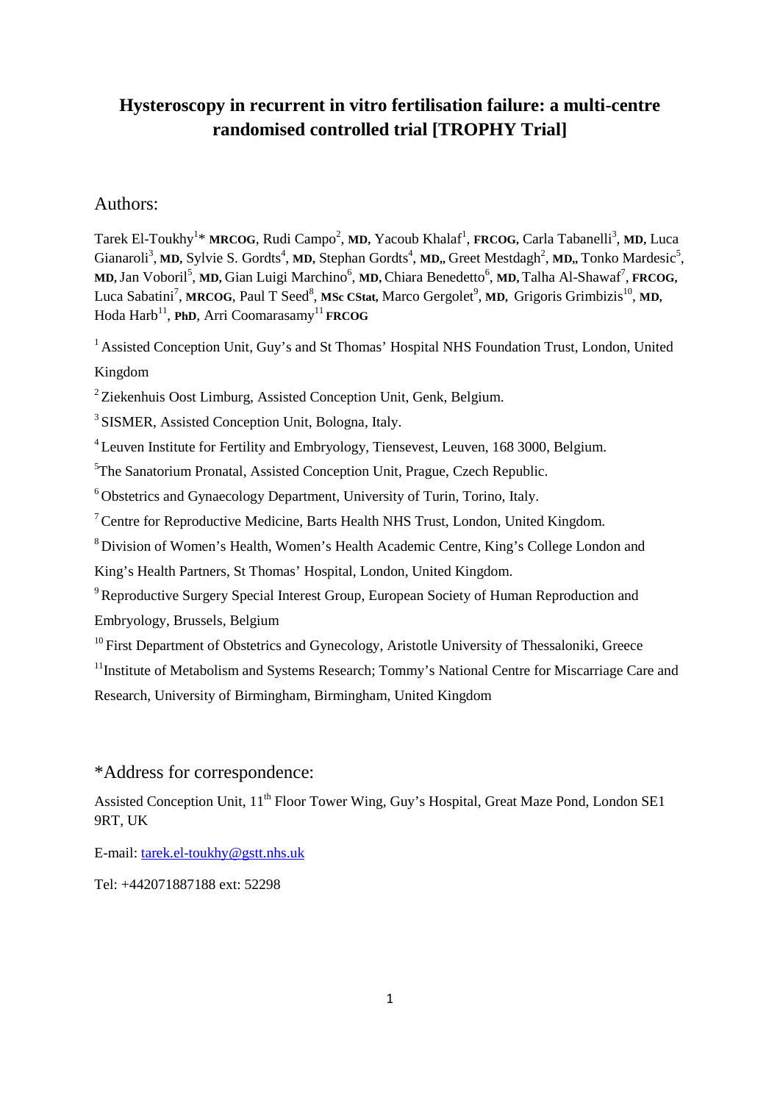# **Hysteroscopy in recurrent in vitro fertilisation failure: a multi-centre randomised controlled trial [TROPHY Trial]**

# Authors:

Tarek El-Toukhy<sup>1</sup>\* MRCOG, Rudi Campo<sup>2</sup>, MD, Yacoub Khalaf<sup>1</sup>, FRCOG, Carla Tabanelli<sup>3</sup>, MD, Luca Gianaroli<sup>3</sup>, MD, Sylvie S. Gordts<sup>4</sup>, MD, Stephan Gordts<sup>4</sup>, MD, Greet Mestdagh<sup>2</sup>, MD, Tonko Mardesic<sup>5</sup>,  $MD$ , Jan Voboril<sup>5</sup>, MD, Gian Luigi Marchino<sup>6</sup>, MD, Chiara Benedetto<sup>6</sup>, MD, Talha Al-Shawaf<sup>7</sup>, **FRCOG**, Luca Sabatini<sup>7</sup>, MRCOG, Paul T Seed<sup>8</sup>, MSc CStat, Marco Gergolet<sup>9</sup>, MD, Grigoris Grimbizis<sup>10</sup>, MD, Hoda Harb<sup>11</sup>, **PhD**, Arri Coomarasamy<sup>11</sup> **FRCOG** 

<sup>1</sup> Assisted Conception Unit, Guy's and St Thomas' Hospital NHS Foundation Trust, London, United Kingdom

 $2$  Ziekenhuis Oost Limburg, Assisted Conception Unit, Genk, Belgium.

3 SISMER, Assisted Conception Unit, Bologna, Italy.

<sup>4</sup> Leuven Institute for Fertility and Embryology, Tiensevest, Leuven, 168 3000, Belgium.

<sup>5</sup>The Sanatorium Pronatal, Assisted Conception Unit, Prague, Czech Republic.

6 Obstetrics and Gynaecology Department, University of Turin, Torino, Italy.

<sup>7</sup> Centre for Reproductive Medicine, Barts Health NHS Trust, London, United Kingdom.

8 Division of Women's Health, Women's Health Academic Centre, King's College London and

King's Health Partners, St Thomas' Hospital, London, United Kingdom.

<sup>9</sup> Reproductive Surgery Special Interest Group, European Society of Human Reproduction and Embryology, Brussels, Belgium

 $10$  First Department of Obstetrics and Gynecology, Aristotle University of Thessaloniki, Greece

<sup>11</sup> Institute of Metabolism and Systems Research; Tommy's National Centre for Miscarriage Care and

Research, University of Birmingham, Birmingham, United Kingdom

# \*Address for correspondence:

Assisted Conception Unit, 11<sup>th</sup> Floor Tower Wing, Guy's Hospital, Great Maze Pond, London SE1 9RT, UK

E-mail[: tarek.el-toukhy@gstt.nhs.uk](mailto:tarek.el-toukhy@gstt.nhs.uk)

Tel: +442071887188 ext: 52298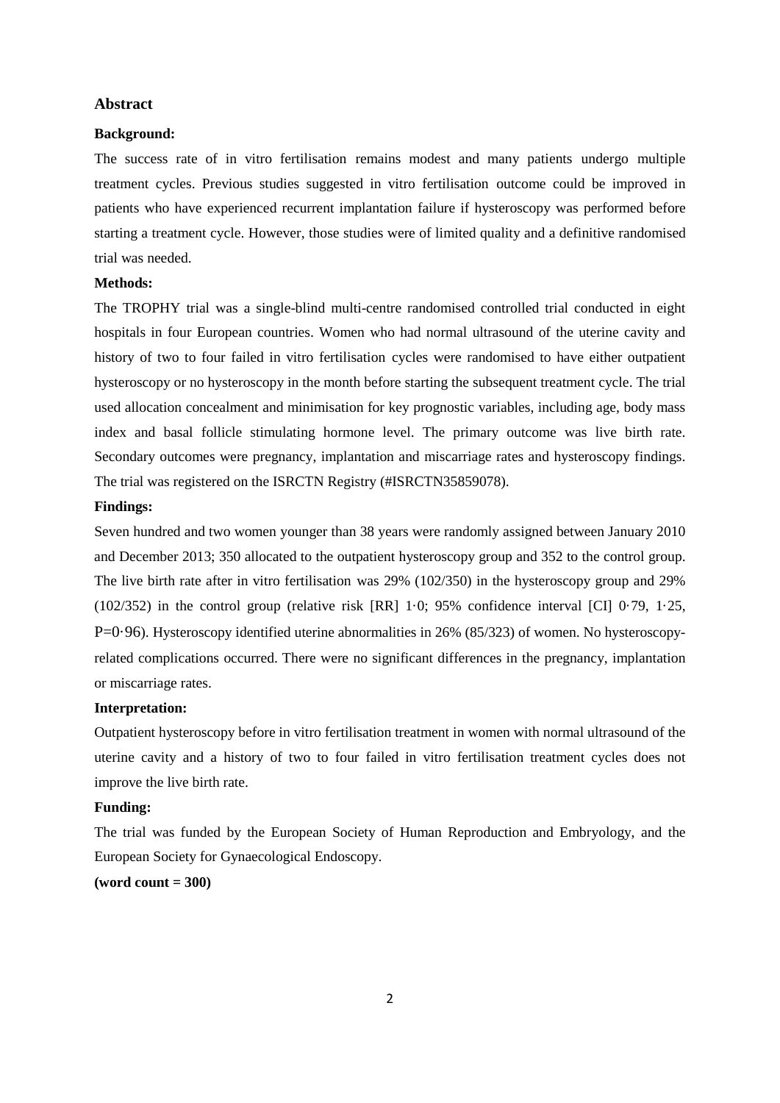#### **Abstract**

#### **Background:**

The success rate of in vitro fertilisation remains modest and many patients undergo multiple treatment cycles. Previous studies suggested in vitro fertilisation outcome could be improved in patients who have experienced recurrent implantation failure if hysteroscopy was performed before starting a treatment cycle. However, those studies were of limited quality and a definitive randomised trial was needed.

#### **Methods:**

The TROPHY trial was a single-blind multi-centre randomised controlled trial conducted in eight hospitals in four European countries. Women who had normal ultrasound of the uterine cavity and history of two to four failed in vitro fertilisation cycles were randomised to have either outpatient hysteroscopy or no hysteroscopy in the month before starting the subsequent treatment cycle. The trial used allocation concealment and minimisation for key prognostic variables, including age, body mass index and basal follicle stimulating hormone level. The primary outcome was live birth rate. Secondary outcomes were pregnancy, implantation and miscarriage rates and hysteroscopy findings. The trial was registered on the ISRCTN Registry (#ISRCTN35859078).

#### **Findings:**

Seven hundred and two women younger than 38 years were randomly assigned between January 2010 and December 2013; 350 allocated to the outpatient hysteroscopy group and 352 to the control group. The live birth rate after in vitro fertilisation was 29% (102/350) in the hysteroscopy group and 29% (102/352) in the control group (relative risk [RR] 1·0; 95% confidence interval [CI] 0·79, 1·25, P=0·96). Hysteroscopy identified uterine abnormalities in 26% (85/323) of women. No hysteroscopyrelated complications occurred. There were no significant differences in the pregnancy, implantation or miscarriage rates.

# **Interpretation:**

Outpatient hysteroscopy before in vitro fertilisation treatment in women with normal ultrasound of the uterine cavity and a history of two to four failed in vitro fertilisation treatment cycles does not improve the live birth rate.

# **Funding:**

The trial was funded by the European Society of Human Reproduction and Embryology, and the European Society for Gynaecological Endoscopy.

# **(word count = 300)**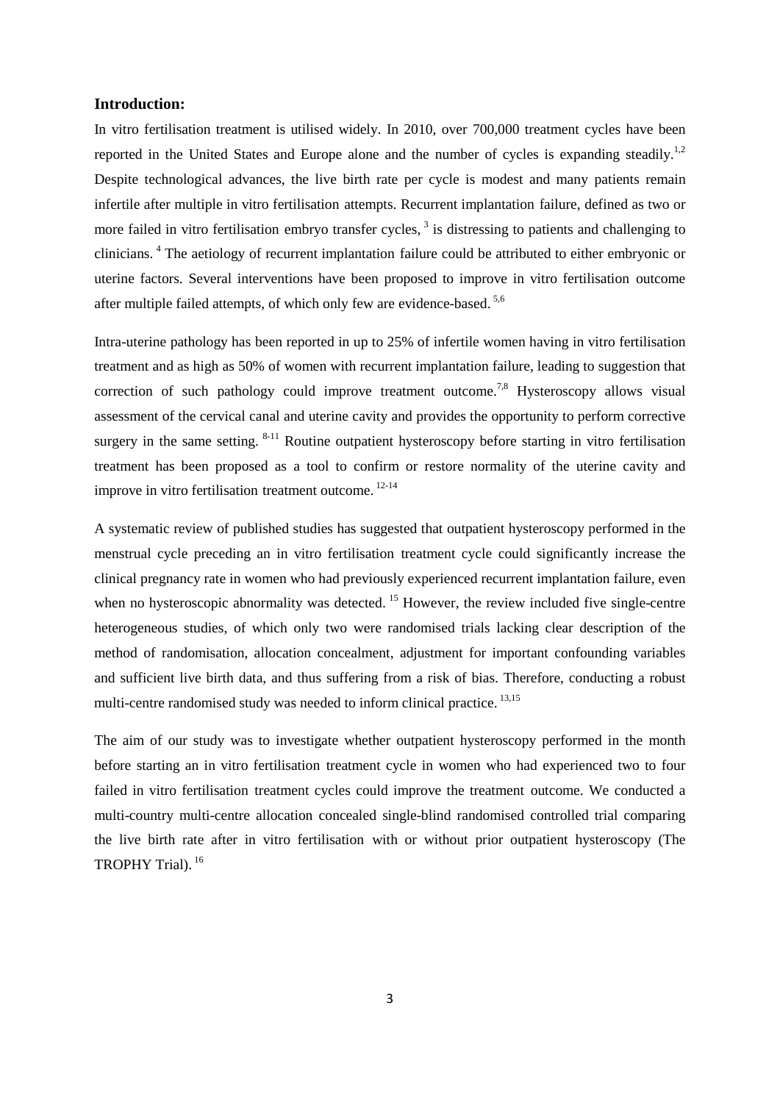# **Introduction:**

In vitro fertilisation treatment is utilised widely. In 2010, over 700,000 treatment cycles have been reported in the United States and Europe alone and the number of cycles is expanding steadily.<sup>1,2</sup> Despite technological advances, the live birth rate per cycle is modest and many patients remain infertile after multiple in vitro fertilisation attempts. Recurrent implantation failure, defined as two or more failed in vitro fertilisation embryo transfer cycles,<sup>3</sup> is distressing to patients and challenging to clinicians. <sup>4</sup> The aetiology of recurrent implantation failure could be attributed to either embryonic or uterine factors. Several interventions have been proposed to improve in vitro fertilisation outcome after multiple failed attempts, of which only few are evidence-based. 5,6

Intra-uterine pathology has been reported in up to 25% of infertile women having in vitro fertilisation treatment and as high as 50% of women with recurrent implantation failure, leading to suggestion that correction of such pathology could improve treatment outcome.<sup>7,8</sup> Hysteroscopy allows visual assessment of the cervical canal and uterine cavity and provides the opportunity to perform corrective surgery in the same setting.  $8-11$  Routine outpatient hysteroscopy before starting in vitro fertilisation treatment has been proposed as a tool to confirm or restore normality of the uterine cavity and improve in vitro fertilisation treatment outcome. 12-14

A systematic review of published studies has suggested that outpatient hysteroscopy performed in the menstrual cycle preceding an in vitro fertilisation treatment cycle could significantly increase the clinical pregnancy rate in women who had previously experienced recurrent implantation failure, even when no hysteroscopic abnormality was detected. <sup>15</sup> However, the review included five single-centre heterogeneous studies, of which only two were randomised trials lacking clear description of the method of randomisation, allocation concealment, adjustment for important confounding variables and sufficient live birth data, and thus suffering from a risk of bias. Therefore, conducting a robust multi-centre randomised study was needed to inform clinical practice. <sup>13,15</sup>

The aim of our study was to investigate whether outpatient hysteroscopy performed in the month before starting an in vitro fertilisation treatment cycle in women who had experienced two to four failed in vitro fertilisation treatment cycles could improve the treatment outcome. We conducted a multi-country multi-centre allocation concealed single-blind randomised controlled trial comparing the live birth rate after in vitro fertilisation with or without prior outpatient hysteroscopy (The TROPHY Trial).<sup>16</sup>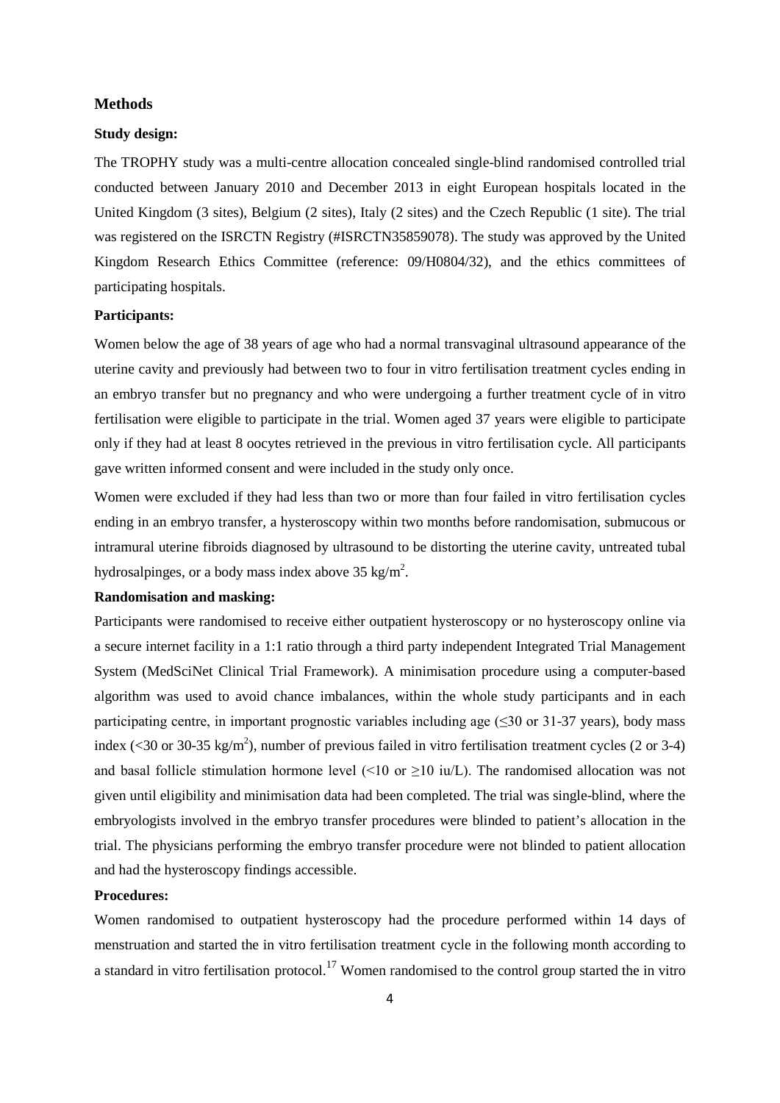# **Methods**

## **Study design:**

The TROPHY study was a multi-centre allocation concealed single-blind randomised controlled trial conducted between January 2010 and December 2013 in eight European hospitals located in the United Kingdom (3 sites), Belgium (2 sites), Italy (2 sites) and the Czech Republic (1 site). The trial was registered on the ISRCTN Registry (#ISRCTN35859078). The study was approved by the United Kingdom Research Ethics Committee (reference: 09/H0804/32), and the ethics committees of participating hospitals.

# **Participants:**

Women below the age of 38 years of age who had a normal transvaginal ultrasound appearance of the uterine cavity and previously had between two to four in vitro fertilisation treatment cycles ending in an embryo transfer but no pregnancy and who were undergoing a further treatment cycle of in vitro fertilisation were eligible to participate in the trial. Women aged 37 years were eligible to participate only if they had at least 8 oocytes retrieved in the previous in vitro fertilisation cycle. All participants gave written informed consent and were included in the study only once.

Women were excluded if they had less than two or more than four failed in vitro fertilisation cycles ending in an embryo transfer, a hysteroscopy within two months before randomisation, submucous or intramural uterine fibroids diagnosed by ultrasound to be distorting the uterine cavity, untreated tubal hydrosalpinges, or a body mass index above 35 kg/m<sup>2</sup>.

# **Randomisation and masking:**

Participants were randomised to receive either outpatient hysteroscopy or no hysteroscopy online via a secure internet facility in a 1:1 ratio through a third party independent Integrated Trial Management System (MedSciNet Clinical Trial Framework). A minimisation procedure using a computer-based algorithm was used to avoid chance imbalances, within the whole study participants and in each participating centre, in important prognostic variables including age  $(\leq 30 \text{ or } 31-37 \text{ years})$ , body mass index (<30 or 30-35 kg/m<sup>2</sup>), number of previous failed in vitro fertilisation treatment cycles (2 or 3-4) and basal follicle stimulation hormone level ( $\leq 10$  or  $\geq 10$  iu/L). The randomised allocation was not given until eligibility and minimisation data had been completed. The trial was single-blind, where the embryologists involved in the embryo transfer procedures were blinded to patient's allocation in the trial. The physicians performing the embryo transfer procedure were not blinded to patient allocation and had the hysteroscopy findings accessible.

# **Procedures:**

Women randomised to outpatient hysteroscopy had the procedure performed within 14 days of menstruation and started the in vitro fertilisation treatment cycle in the following month according to a standard in vitro fertilisation protocol.<sup>17</sup> Women randomised to the control group started the in vitro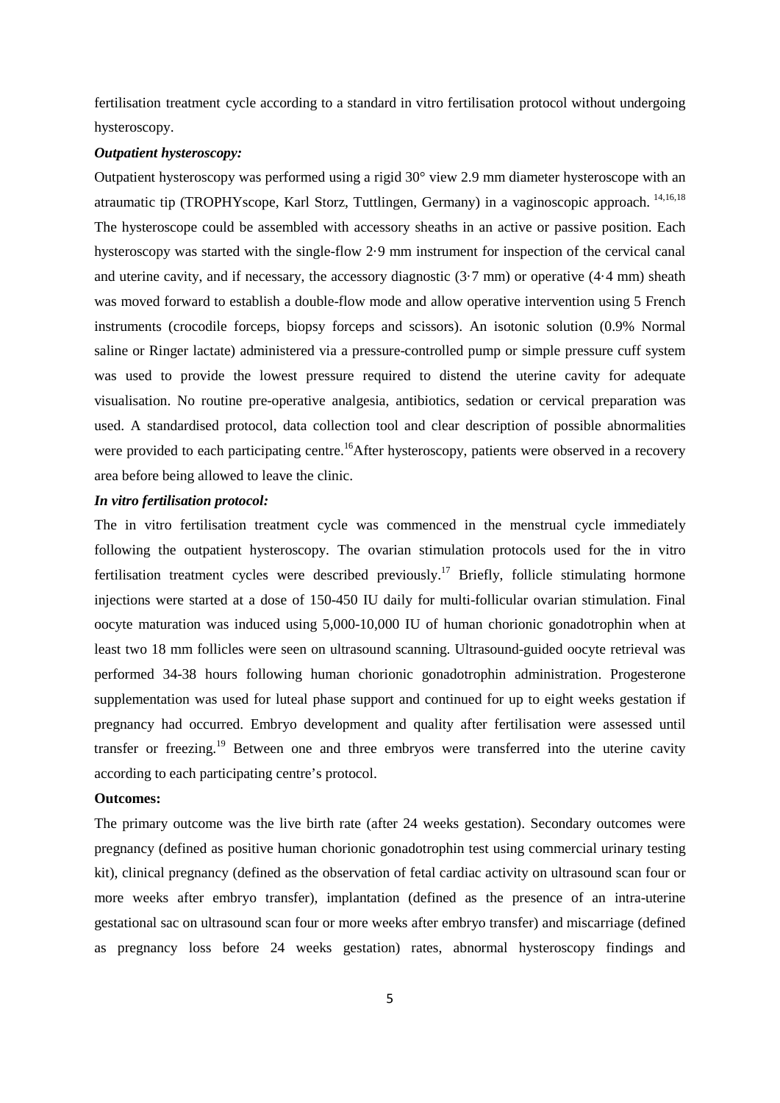fertilisation treatment cycle according to a standard in vitro fertilisation protocol without undergoing hysteroscopy.

# *Outpatient hysteroscopy:*

Outpatient hysteroscopy was performed using a rigid 30° view 2.9 mm diameter hysteroscope with an atraumatic tip (TROPHYscope, Karl Storz, Tuttlingen, Germany) in a vaginoscopic approach. 14,16,18 The hysteroscope could be assembled with accessory sheaths in an active or passive position. Each hysteroscopy was started with the single-flow 2·9 mm instrument for inspection of the cervical canal and uterine cavity, and if necessary, the accessory diagnostic (3·7 mm) or operative (4·4 mm) sheath was moved forward to establish a double-flow mode and allow operative intervention using 5 French instruments (crocodile forceps, biopsy forceps and scissors). An isotonic solution (0.9% Normal saline or Ringer lactate) administered via a pressure-controlled pump or simple pressure cuff system was used to provide the lowest pressure required to distend the uterine cavity for adequate visualisation. No routine pre-operative analgesia, antibiotics, sedation or cervical preparation was used. A standardised protocol, data collection tool and clear description of possible abnormalities were provided to each participating centre.<sup>16</sup>After hysteroscopy, patients were observed in a recovery area before being allowed to leave the clinic.

#### *In vitro fertilisation protocol:*

The in vitro fertilisation treatment cycle was commenced in the menstrual cycle immediately following the outpatient hysteroscopy. The ovarian stimulation protocols used for the in vitro fertilisation treatment cycles were described previously.<sup>17</sup> Briefly, follicle stimulating hormone injections were started at a dose of 150-450 IU daily for multi-follicular ovarian stimulation. Final oocyte maturation was induced using 5,000-10,000 IU of human chorionic gonadotrophin when at least two 18 mm follicles were seen on ultrasound scanning. Ultrasound-guided oocyte retrieval was performed 34-38 hours following human chorionic gonadotrophin administration. Progesterone supplementation was used for luteal phase support and continued for up to eight weeks gestation if pregnancy had occurred. Embryo development and quality after fertilisation were assessed until transfer or freezing.<sup>19</sup> Between one and three embryos were transferred into the uterine cavity according to each participating centre's protocol.

# **Outcomes:**

The primary outcome was the live birth rate (after 24 weeks gestation). Secondary outcomes were pregnancy (defined as positive human chorionic gonadotrophin test using commercial urinary testing kit), clinical pregnancy (defined as the observation of fetal cardiac activity on ultrasound scan four or more weeks after embryo transfer), implantation (defined as the presence of an intra-uterine gestational sac on ultrasound scan four or more weeks after embryo transfer) and miscarriage (defined as pregnancy loss before 24 weeks gestation) rates, abnormal hysteroscopy findings and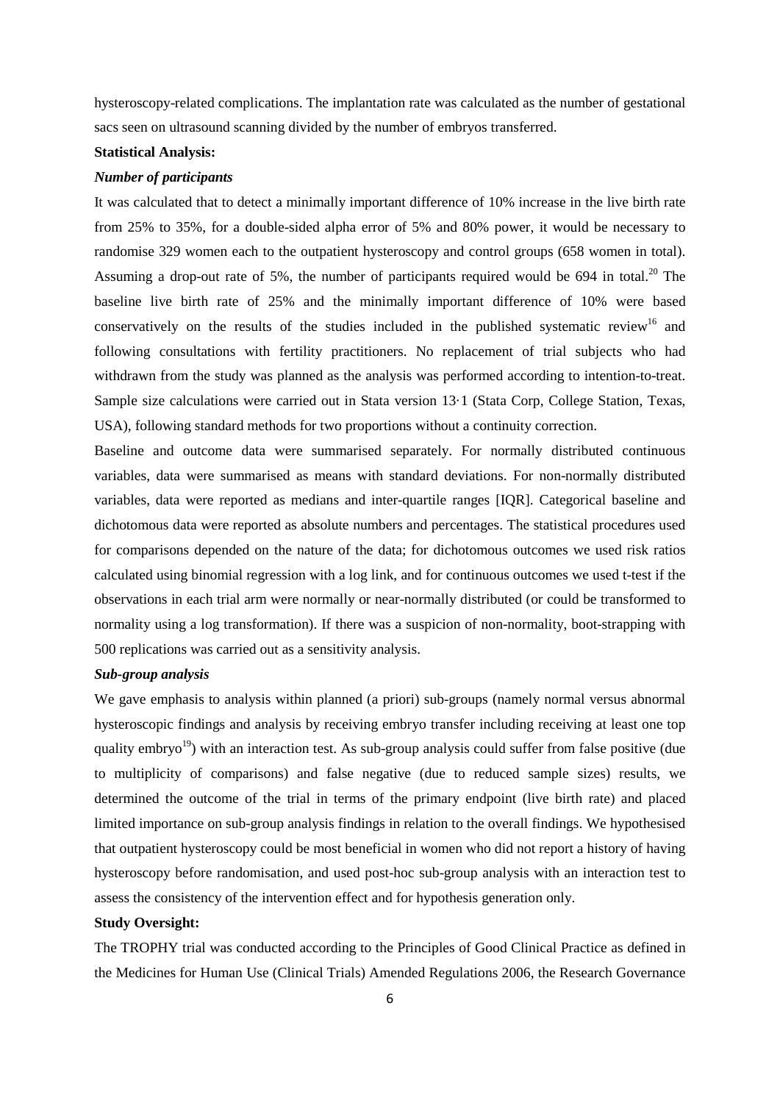hysteroscopy-related complications. The implantation rate was calculated as the number of gestational sacs seen on ultrasound scanning divided by the number of embryos transferred.

# **Statistical Analysis:**

## *Number of participants*

It was calculated that to detect a minimally important difference of 10% increase in the live birth rate from 25% to 35%, for a double-sided alpha error of 5% and 80% power, it would be necessary to randomise 329 women each to the outpatient hysteroscopy and control groups (658 women in total). Assuming a drop-out rate of 5%, the number of participants required would be 694 in total.<sup>20</sup> The baseline live birth rate of 25% and the minimally important difference of 10% were based conservatively on the results of the studies included in the published systematic review<sup>16</sup> and following consultations with fertility practitioners. No replacement of trial subjects who had withdrawn from the study was planned as the analysis was performed according to intention-to-treat. Sample size calculations were carried out in Stata version 13·1 (Stata Corp, College Station, Texas, USA), following standard methods for two proportions without a continuity correction.

Baseline and outcome data were summarised separately. For normally distributed continuous variables, data were summarised as means with standard deviations. For non-normally distributed variables, data were reported as medians and inter-quartile ranges [IQR]. Categorical baseline and dichotomous data were reported as absolute numbers and percentages. The statistical procedures used for comparisons depended on the nature of the data; for dichotomous outcomes we used risk ratios calculated using binomial regression with a log link, and for continuous outcomes we used t-test if the observations in each trial arm were normally or near-normally distributed (or could be transformed to normality using a log transformation). If there was a suspicion of non-normality, boot-strapping with 500 replications was carried out as a sensitivity analysis.

#### *Sub-group analysis*

We gave emphasis to analysis within planned (a priori) sub-groups (namely normal versus abnormal hysteroscopic findings and analysis by receiving embryo transfer including receiving at least one top quality embryo<sup>19</sup>) with an interaction test. As sub-group analysis could suffer from false positive (due to multiplicity of comparisons) and false negative (due to reduced sample sizes) results, we determined the outcome of the trial in terms of the primary endpoint (live birth rate) and placed limited importance on sub-group analysis findings in relation to the overall findings. We hypothesised that outpatient hysteroscopy could be most beneficial in women who did not report a history of having hysteroscopy before randomisation, and used post-hoc sub-group analysis with an interaction test to assess the consistency of the intervention effect and for hypothesis generation only.

# **Study Oversight:**

The TROPHY trial was conducted according to the Principles of Good Clinical Practice as defined in the Medicines for Human Use (Clinical Trials) Amended Regulations 2006, the Research Governance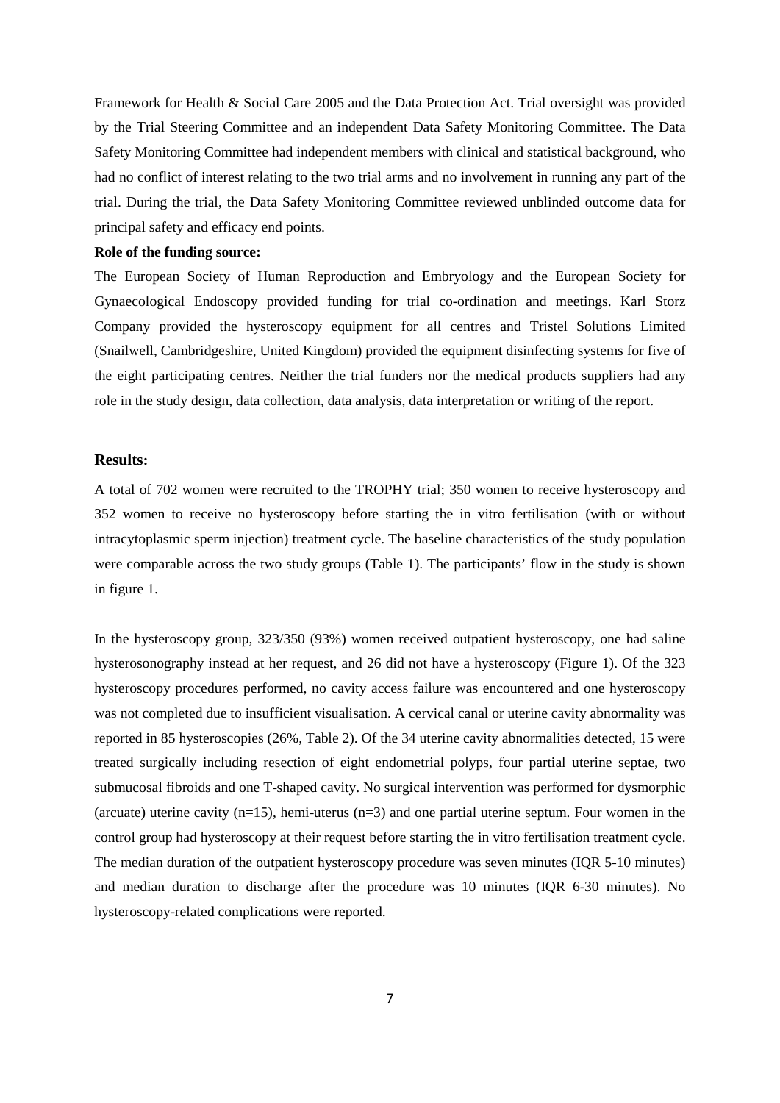Framework for Health & Social Care 2005 and the Data Protection Act. Trial oversight was provided by the Trial Steering Committee and an independent Data Safety Monitoring Committee. The Data Safety Monitoring Committee had independent members with clinical and statistical background, who had no conflict of interest relating to the two trial arms and no involvement in running any part of the trial. During the trial, the Data Safety Monitoring Committee reviewed unblinded outcome data for principal safety and efficacy end points.

# **Role of the funding source:**

The European Society of Human Reproduction and Embryology and the European Society for Gynaecological Endoscopy provided funding for trial co-ordination and meetings. Karl Storz Company provided the hysteroscopy equipment for all centres and Tristel Solutions Limited (Snailwell, Cambridgeshire, United Kingdom) provided the equipment disinfecting systems for five of the eight participating centres. Neither the trial funders nor the medical products suppliers had any role in the study design, data collection, data analysis, data interpretation or writing of the report.

# **Results:**

A total of 702 women were recruited to the TROPHY trial; 350 women to receive hysteroscopy and 352 women to receive no hysteroscopy before starting the in vitro fertilisation (with or without intracytoplasmic sperm injection) treatment cycle. The baseline characteristics of the study population were comparable across the two study groups (Table 1). The participants' flow in the study is shown in figure 1.

In the hysteroscopy group, 323/350 (93%) women received outpatient hysteroscopy, one had saline hysterosonography instead at her request, and 26 did not have a hysteroscopy (Figure 1). Of the 323 hysteroscopy procedures performed, no cavity access failure was encountered and one hysteroscopy was not completed due to insufficient visualisation. A cervical canal or uterine cavity abnormality was reported in 85 hysteroscopies (26%, Table 2). Of the 34 uterine cavity abnormalities detected, 15 were treated surgically including resection of eight endometrial polyps, four partial uterine septae, two submucosal fibroids and one T-shaped cavity. No surgical intervention was performed for dysmorphic (arcuate) uterine cavity ( $n=15$ ), hemi-uterus ( $n=3$ ) and one partial uterine septum. Four women in the control group had hysteroscopy at their request before starting the in vitro fertilisation treatment cycle. The median duration of the outpatient hysteroscopy procedure was seven minutes (IQR 5-10 minutes) and median duration to discharge after the procedure was 10 minutes (IQR 6-30 minutes). No hysteroscopy-related complications were reported.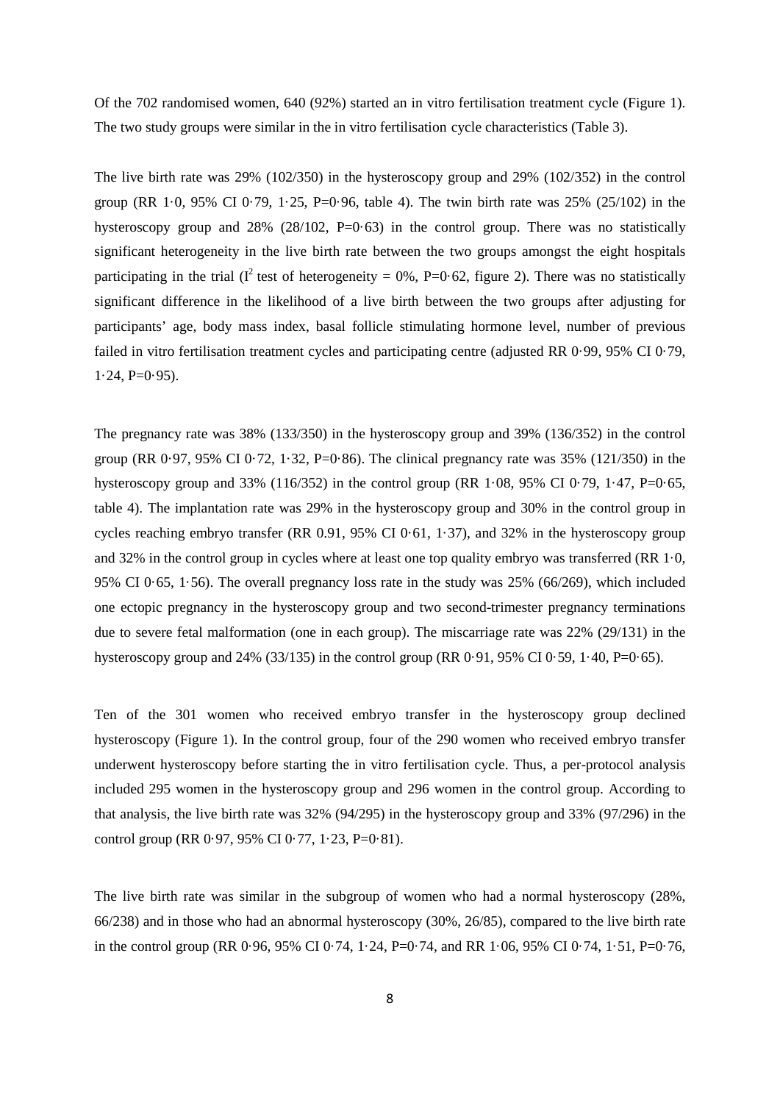Of the 702 randomised women, 640 (92%) started an in vitro fertilisation treatment cycle (Figure 1). The two study groups were similar in the in vitro fertilisation cycle characteristics (Table 3).

The live birth rate was 29% (102/350) in the hysteroscopy group and 29% (102/352) in the control group (RR 1.0, 95% CI 0.79, 1.25, P=0.96, table 4). The twin birth rate was  $25\%$  (25/102) in the hysteroscopy group and  $28\%$  ( $28/102$ , P=0.63) in the control group. There was no statistically significant heterogeneity in the live birth rate between the two groups amongst the eight hospitals participating in the trial ( $I^2$  test of heterogeneity = 0%, P=0·62, figure 2). There was no statistically significant difference in the likelihood of a live birth between the two groups after adjusting for participants' age, body mass index, basal follicle stimulating hormone level, number of previous failed in vitro fertilisation treatment cycles and participating centre (adjusted RR 0·99, 95% CI 0·79,  $1.24$ , P= $0.95$ ).

The pregnancy rate was 38% (133/350) in the hysteroscopy group and 39% (136/352) in the control group (RR  $0.97, 95\%$  CI  $0.72, 1.32, P=0.86$ ). The clinical pregnancy rate was 35% (121/350) in the hysteroscopy group and 33% (116/352) in the control group (RR  $1.08$ , 95% CI 0.79, 1.47, P=0.65, table 4). The implantation rate was 29% in the hysteroscopy group and 30% in the control group in cycles reaching embryo transfer (RR 0.91, 95% CI 0·61, 1·37), and 32% in the hysteroscopy group and 32% in the control group in cycles where at least one top quality embryo was transferred (RR 1·0, 95% CI 0·65, 1·56). The overall pregnancy loss rate in the study was 25% (66/269), which included one ectopic pregnancy in the hysteroscopy group and two second-trimester pregnancy terminations due to severe fetal malformation (one in each group). The miscarriage rate was 22% (29/131) in the hysteroscopy group and 24% (33/135) in the control group (RR  $0.91$ , 95% CI  $0.59$ , 1 $\cdot$ 40, P=0 $\cdot$ 65).

Ten of the 301 women who received embryo transfer in the hysteroscopy group declined hysteroscopy (Figure 1). In the control group, four of the 290 women who received embryo transfer underwent hysteroscopy before starting the in vitro fertilisation cycle. Thus, a per-protocol analysis included 295 women in the hysteroscopy group and 296 women in the control group. According to that analysis, the live birth rate was 32% (94/295) in the hysteroscopy group and 33% (97/296) in the control group (RR  $0.97, 95\%$  CI  $0.77, 1.23, P=0.81$ ).

The live birth rate was similar in the subgroup of women who had a normal hysteroscopy (28%, 66/238) and in those who had an abnormal hysteroscopy (30%, 26/85), compared to the live birth rate in the control group (RR 0·96, 95% CI 0·74, 1·24, P=0·74, and RR 1·06, 95% CI 0·74, 1·51, P=0·76,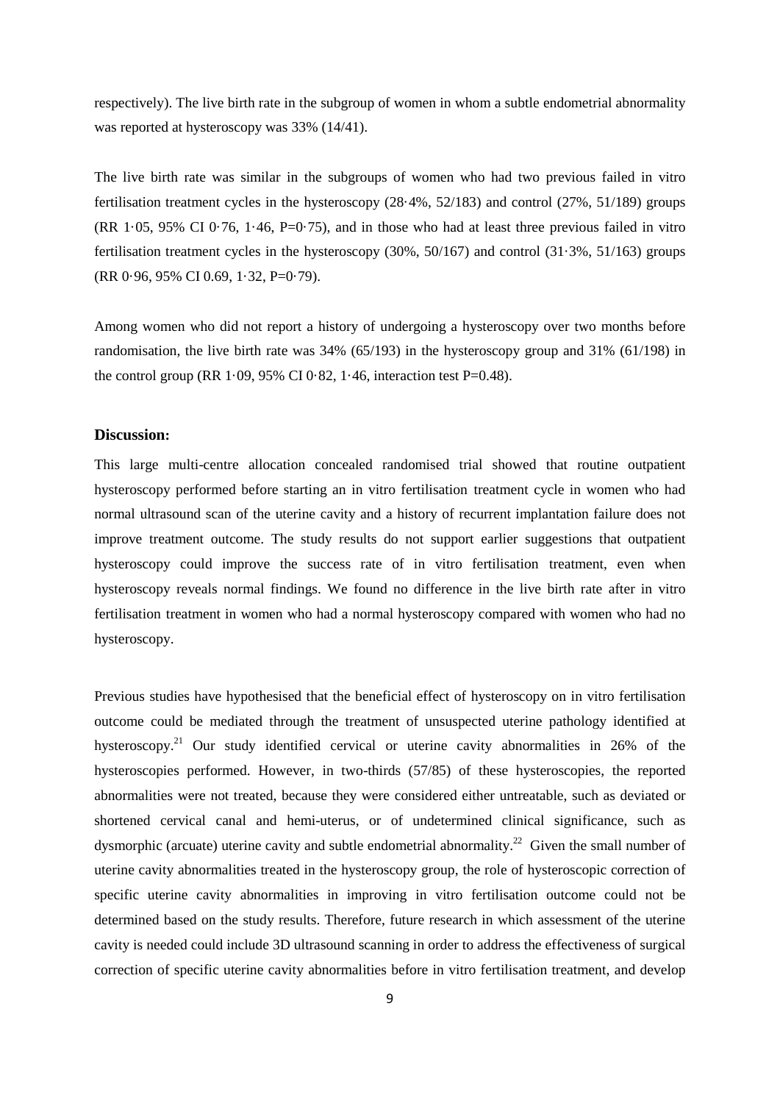respectively). The live birth rate in the subgroup of women in whom a subtle endometrial abnormality was reported at hysteroscopy was 33% (14/41).

The live birth rate was similar in the subgroups of women who had two previous failed in vitro fertilisation treatment cycles in the hysteroscopy (28·4%, 52/183) and control (27%, 51/189) groups  $(RR\ 1.05, 95\% \n\text{CI } 0.76, 1.46, P=0.75)$ , and in those who had at least three previous failed in vitro fertilisation treatment cycles in the hysteroscopy (30%, 50/167) and control (31·3%, 51/163) groups (RR 0·96, 95% CI 0.69, 1·32, P=0·79).

Among women who did not report a history of undergoing a hysteroscopy over two months before randomisation, the live birth rate was 34% (65/193) in the hysteroscopy group and 31% (61/198) in the control group (RR 1·09, 95% CI 0·82, 1·46, interaction test P=0.48).

## **Discussion:**

This large multi-centre allocation concealed randomised trial showed that routine outpatient hysteroscopy performed before starting an in vitro fertilisation treatment cycle in women who had normal ultrasound scan of the uterine cavity and a history of recurrent implantation failure does not improve treatment outcome. The study results do not support earlier suggestions that outpatient hysteroscopy could improve the success rate of in vitro fertilisation treatment, even when hysteroscopy reveals normal findings. We found no difference in the live birth rate after in vitro fertilisation treatment in women who had a normal hysteroscopy compared with women who had no hysteroscopy.

Previous studies have hypothesised that the beneficial effect of hysteroscopy on in vitro fertilisation outcome could be mediated through the treatment of unsuspected uterine pathology identified at hysteroscopy.<sup>21</sup> Our study identified cervical or uterine cavity abnormalities in 26% of the hysteroscopies performed. However, in two-thirds (57/85) of these hysteroscopies, the reported abnormalities were not treated, because they were considered either untreatable, such as deviated or shortened cervical canal and hemi-uterus, or of undetermined clinical significance, such as dysmorphic (arcuate) uterine cavity and subtle endometrial abnormality.<sup>22</sup> Given the small number of uterine cavity abnormalities treated in the hysteroscopy group, the role of hysteroscopic correction of specific uterine cavity abnormalities in improving in vitro fertilisation outcome could not be determined based on the study results. Therefore, future research in which assessment of the uterine cavity is needed could include 3D ultrasound scanning in order to address the effectiveness of surgical correction of specific uterine cavity abnormalities before in vitro fertilisation treatment, and develop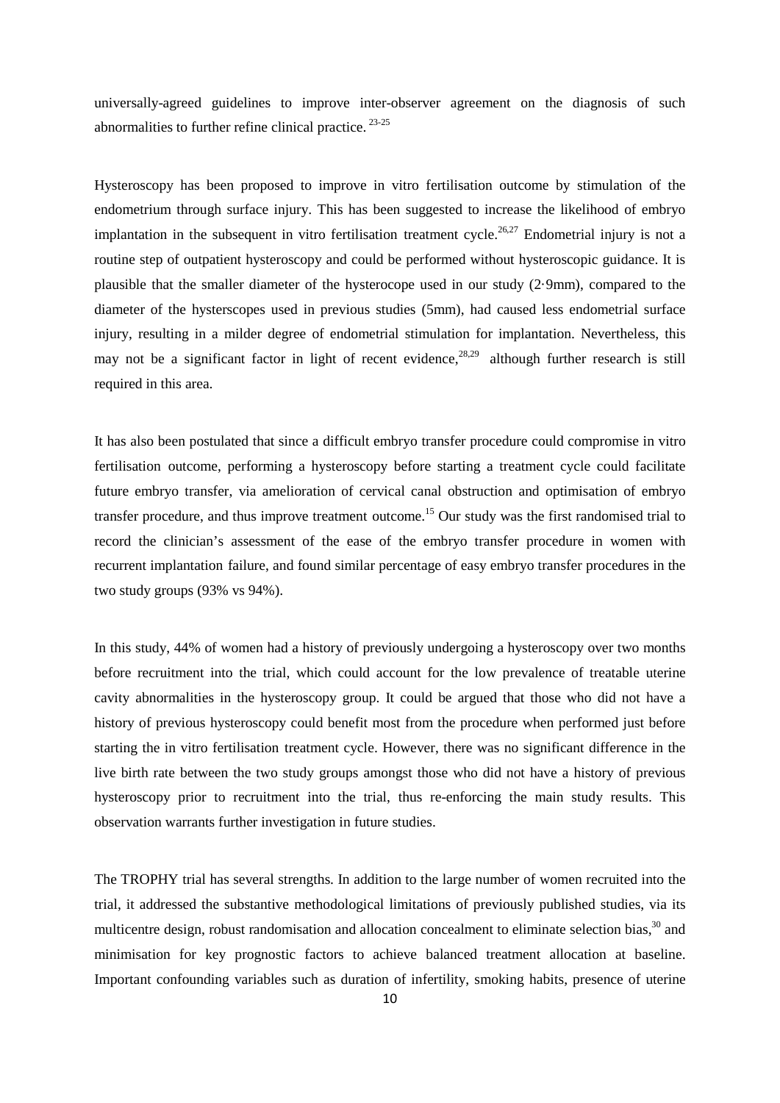universally-agreed guidelines to improve inter-observer agreement on the diagnosis of such abnormalities to further refine clinical practice.<sup>23-25</sup>

Hysteroscopy has been proposed to improve in vitro fertilisation outcome by stimulation of the endometrium through surface injury. This has been suggested to increase the likelihood of embryo implantation in the subsequent in vitro fertilisation treatment cycle.<sup>26,27</sup> Endometrial injury is not a routine step of outpatient hysteroscopy and could be performed without hysteroscopic guidance. It is plausible that the smaller diameter of the hysterocope used in our study (2·9mm), compared to the diameter of the hysterscopes used in previous studies (5mm), had caused less endometrial surface injury, resulting in a milder degree of endometrial stimulation for implantation. Nevertheless, this may not be a significant factor in light of recent evidence,  $28,29$  although further research is still required in this area.

It has also been postulated that since a difficult embryo transfer procedure could compromise in vitro fertilisation outcome, performing a hysteroscopy before starting a treatment cycle could facilitate future embryo transfer, via amelioration of cervical canal obstruction and optimisation of embryo transfer procedure, and thus improve treatment outcome.<sup>15</sup> Our study was the first randomised trial to record the clinician's assessment of the ease of the embryo transfer procedure in women with recurrent implantation failure, and found similar percentage of easy embryo transfer procedures in the two study groups (93% vs 94%).

In this study, 44% of women had a history of previously undergoing a hysteroscopy over two months before recruitment into the trial, which could account for the low prevalence of treatable uterine cavity abnormalities in the hysteroscopy group. It could be argued that those who did not have a history of previous hysteroscopy could benefit most from the procedure when performed just before starting the in vitro fertilisation treatment cycle. However, there was no significant difference in the live birth rate between the two study groups amongst those who did not have a history of previous hysteroscopy prior to recruitment into the trial, thus re-enforcing the main study results. This observation warrants further investigation in future studies.

The TROPHY trial has several strengths. In addition to the large number of women recruited into the trial, it addressed the substantive methodological limitations of previously published studies, via its multicentre design, robust randomisation and allocation concealment to eliminate selection bias,<sup>30</sup> and minimisation for key prognostic factors to achieve balanced treatment allocation at baseline. Important confounding variables such as duration of infertility, smoking habits, presence of uterine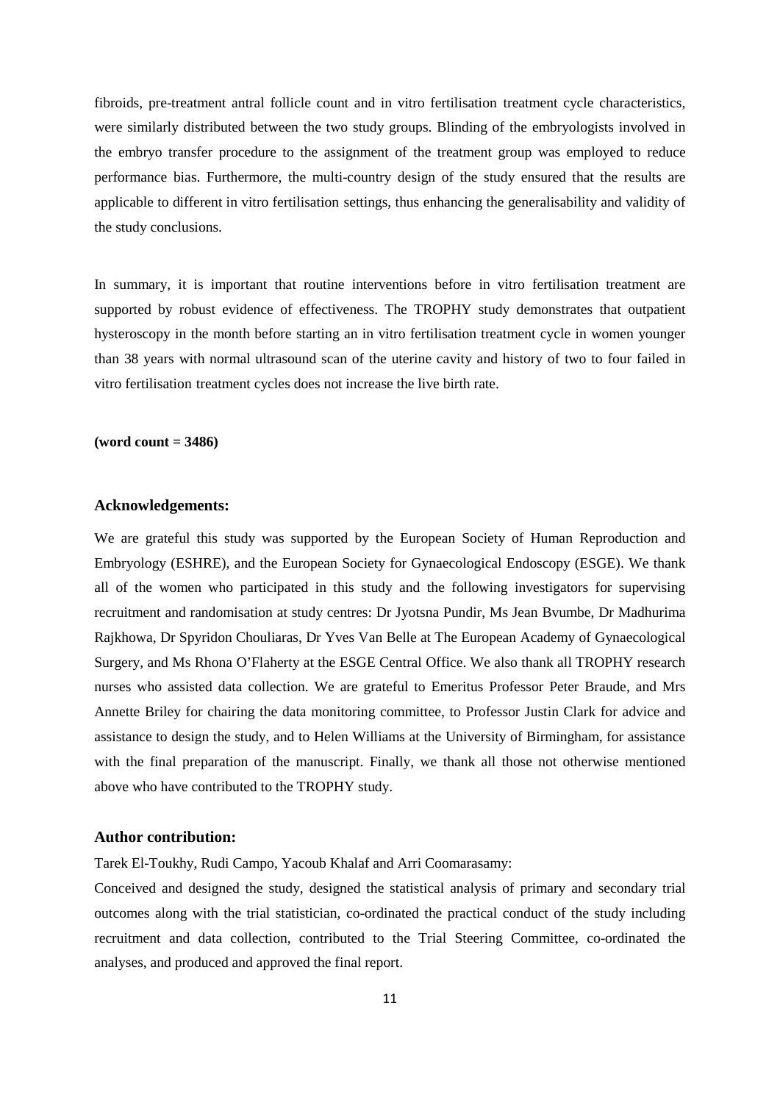fibroids, pre-treatment antral follicle count and in vitro fertilisation treatment cycle characteristics, were similarly distributed between the two study groups. Blinding of the embryologists involved in the embryo transfer procedure to the assignment of the treatment group was employed to reduce performance bias. Furthermore, the multi-country design of the study ensured that the results are applicable to different in vitro fertilisation settings, thus enhancing the generalisability and validity of the study conclusions.

In summary, it is important that routine interventions before in vitro fertilisation treatment are supported by robust evidence of effectiveness. The TROPHY study demonstrates that outpatient hysteroscopy in the month before starting an in vitro fertilisation treatment cycle in women younger than 38 years with normal ultrasound scan of the uterine cavity and history of two to four failed in vitro fertilisation treatment cycles does not increase the live birth rate.

## **(word count = 3486)**

## **Acknowledgements:**

We are grateful this study was supported by the European Society of Human Reproduction and Embryology (ESHRE), and the European Society for Gynaecological Endoscopy (ESGE). We thank all of the women who participated in this study and the following investigators for supervising recruitment and randomisation at study centres: Dr Jyotsna Pundir, Ms Jean Bvumbe, Dr Madhurima Rajkhowa, Dr Spyridon Chouliaras, Dr Yves Van Belle at The European Academy of Gynaecological Surgery, and Ms Rhona O'Flaherty at the ESGE Central Office. We also thank all TROPHY research nurses who assisted data collection. We are grateful to Emeritus Professor Peter Braude, and Mrs Annette Briley for chairing the data monitoring committee, to Professor Justin Clark for advice and assistance to design the study, and to Helen Williams at the University of Birmingham, for assistance with the final preparation of the manuscript. Finally, we thank all those not otherwise mentioned above who have contributed to the TROPHY study.

# **Author contribution:**

Tarek El-Toukhy, Rudi Campo, Yacoub Khalaf and Arri Coomarasamy:

Conceived and designed the study, designed the statistical analysis of primary and secondary trial outcomes along with the trial statistician, co-ordinated the practical conduct of the study including recruitment and data collection, contributed to the Trial Steering Committee, co-ordinated the analyses, and produced and approved the final report.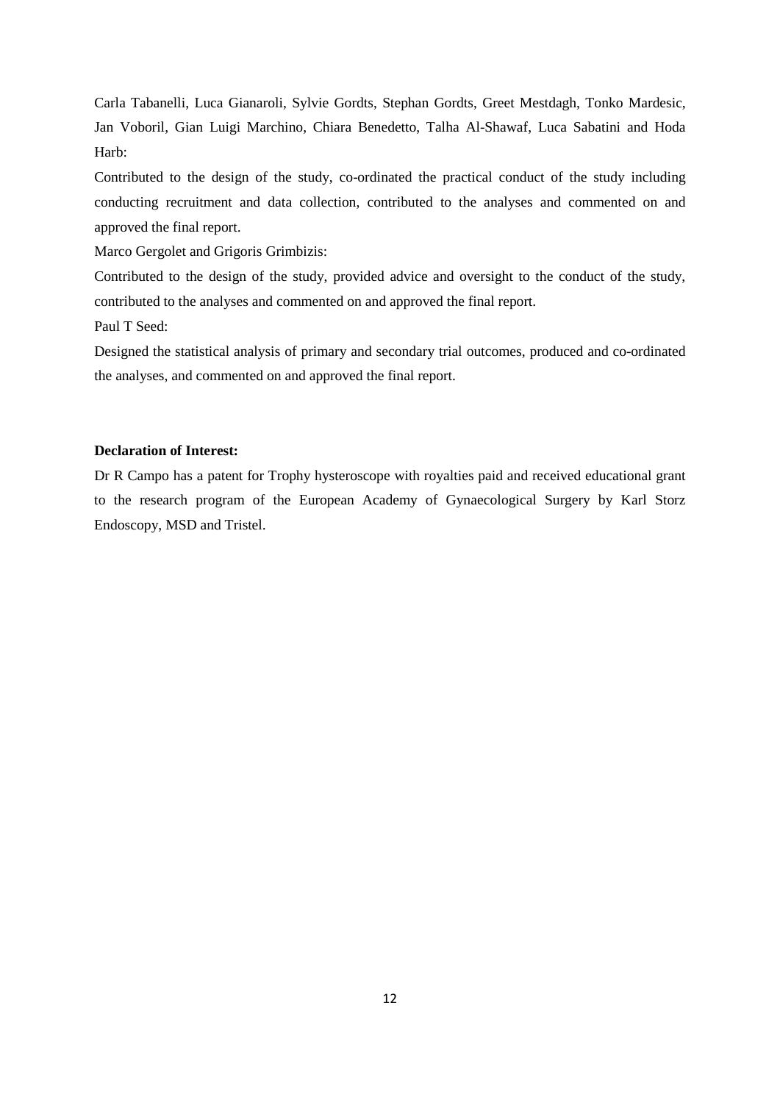Carla Tabanelli, Luca Gianaroli, Sylvie Gordts, Stephan Gordts, Greet Mestdagh, Tonko Mardesic, Jan Voboril, Gian Luigi Marchino, Chiara Benedetto, Talha Al-Shawaf, Luca Sabatini and Hoda Harb:

Contributed to the design of the study, co-ordinated the practical conduct of the study including conducting recruitment and data collection, contributed to the analyses and commented on and approved the final report.

Marco Gergolet and Grigoris Grimbizis:

Contributed to the design of the study, provided advice and oversight to the conduct of the study, contributed to the analyses and commented on and approved the final report.

Paul T Seed:

Designed the statistical analysis of primary and secondary trial outcomes, produced and co-ordinated the analyses, and commented on and approved the final report.

# **Declaration of Interest:**

Dr R Campo has a patent for Trophy hysteroscope with royalties paid and received educational grant to the research program of the European Academy of Gynaecological Surgery by Karl Storz Endoscopy, MSD and Tristel.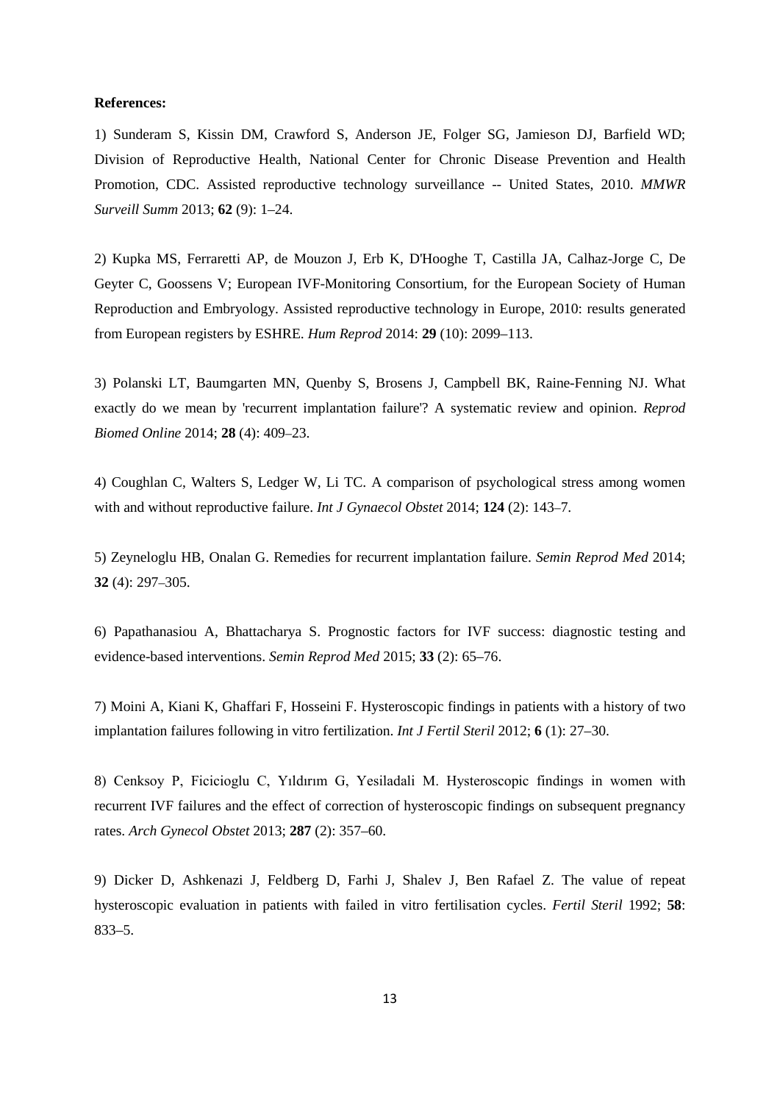#### **References:**

1) Sunderam S, Kissin DM, Crawford S, Anderson JE, Folger SG, Jamieson DJ, Barfield WD; Division of Reproductive Health, National Center for Chronic Disease Prevention and Health Promotion, CDC. Assisted reproductive technology surveillance -- United States, 2010. *MMWR Surveill Summ* 2013; **62** (9): 1–24.

2) Kupka MS, Ferraretti AP, de Mouzon J, Erb K, D'Hooghe T, Castilla JA, Calhaz-Jorge C, De Geyter C, Goossens V; European IVF-Monitoring Consortium, for the European Society of Human Reproduction and Embryology. Assisted reproductive technology in Europe, 2010: results generated from European registers by ESHRE. *Hum Reprod* 2014: **29** (10): 2099–113.

3) Polanski LT, Baumgarten MN, Quenby S, Brosens J, Campbell BK, Raine-Fenning NJ. What exactly do we mean by 'recurrent implantation failure'? A systematic review and opinion. *Reprod Biomed Online* 2014; **28** (4): 409–23.

4) Coughlan C, Walters S, Ledger W, Li TC. A comparison of psychological stress among women with and without reproductive failure. *Int J Gynaecol Obstet* 2014; **124** (2): 143–7.

5) Zeyneloglu HB, Onalan G. Remedies for recurrent implantation failure. *Semin Reprod Med* 2014; **32** (4): 297–305.

6) Papathanasiou A, Bhattacharya S. Prognostic factors for IVF success: diagnostic testing and evidence-based interventions. *Semin Reprod Med* 2015; **33** (2): 65–76.

7) Moini A, Kiani K, Ghaffari F, Hosseini F. Hysteroscopic findings in patients with a history of two implantation failures following in vitro fertilization. *Int J Fertil Steril* 2012; **6** (1): 27–30.

8) Cenksoy P, Ficicioglu C, Yıldırım G, Yesiladali M. Hysteroscopic findings in women with recurrent IVF failures and the effect of correction of hysteroscopic findings on subsequent pregnancy rates. *Arch Gynecol Obstet* 2013; **287** (2): 357–60.

9) Dicker D, Ashkenazi J, Feldberg D, Farhi J, Shalev J, Ben Rafael Z. The value of repeat hysteroscopic evaluation in patients with failed in vitro fertilisation cycles. *Fertil Steril* 1992; **58**: 833–5.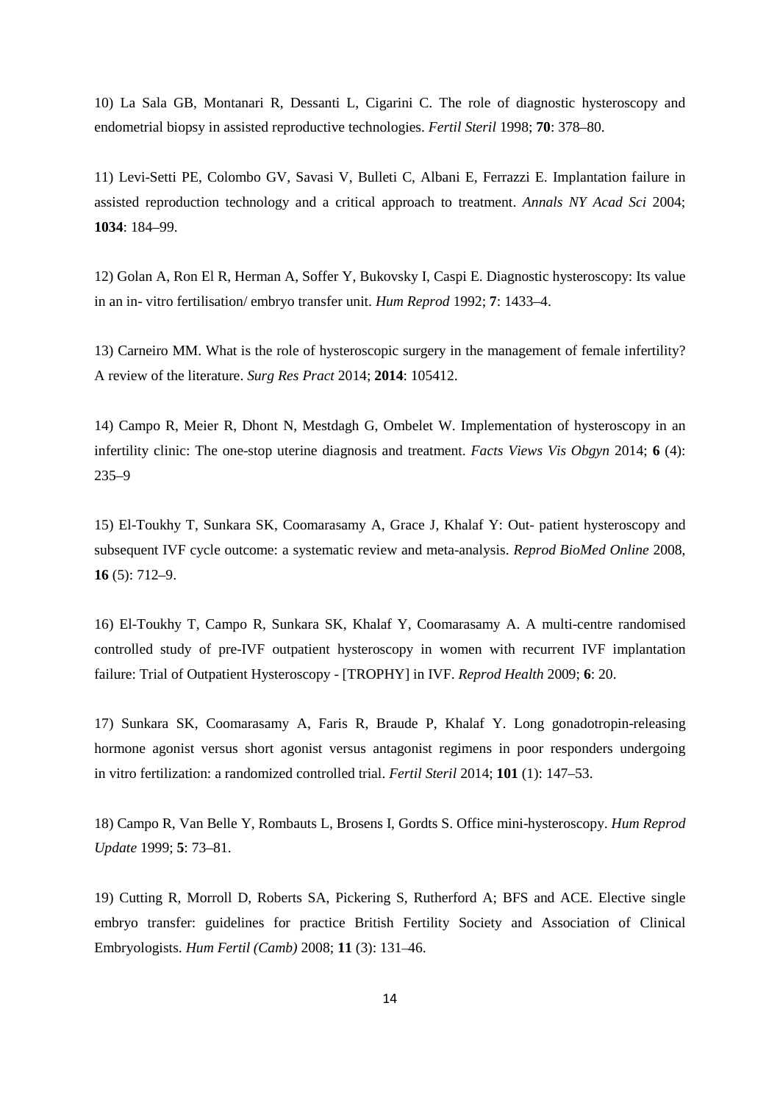10) La Sala GB, Montanari R, Dessanti L, Cigarini C. The role of diagnostic hysteroscopy and endometrial biopsy in assisted reproductive technologies. *Fertil Steril* 1998; **70**: 378–80.

11) Levi-Setti PE, Colombo GV, Savasi V, Bulleti C, Albani E, Ferrazzi E. Implantation failure in assisted reproduction technology and a critical approach to treatment. *Annals NY Acad Sci* 2004; **1034**: 184–99.

12) Golan A, Ron El R, Herman A, Soffer Y, Bukovsky I, Caspi E. Diagnostic hysteroscopy: Its value in an in- vitro fertilisation/ embryo transfer unit. *Hum Reprod* 1992; **7**: 1433–4.

13) Carneiro MM. What is the role of hysteroscopic surgery in the management of female infertility? A review of the literature. *Surg Res Pract* 2014; **2014**: 105412.

14) Campo R, Meier R, Dhont N, Mestdagh G, Ombelet W. Implementation of hysteroscopy in an infertility clinic: The one-stop uterine diagnosis and treatment. *Facts Views Vis Obgyn* 2014; **6** (4): 235–9

15) El-Toukhy T, Sunkara SK, Coomarasamy A, Grace J, Khalaf Y: Out- patient hysteroscopy and subsequent IVF cycle outcome: a systematic review and meta-analysis. *Reprod BioMed Online* 2008, **16** (5): 712–9.

16) El-Toukhy T, Campo R, Sunkara SK, Khalaf Y, Coomarasamy A. A multi-centre randomised controlled study of pre-IVF outpatient hysteroscopy in women with recurrent IVF implantation failure: Trial of Outpatient Hysteroscopy - [TROPHY] in IVF. *Reprod Health* 2009; **6**: 20.

17) Sunkara SK, Coomarasamy A, Faris R, Braude P, Khalaf Y. Long gonadotropin-releasing hormone agonist versus short agonist versus antagonist regimens in poor responders undergoing in vitro fertilization: a randomized controlled trial. *Fertil Steril* 2014; **101** (1): 147–53.

18) Campo R, Van Belle Y, Rombauts L, Brosens I, Gordts S. Office mini-hysteroscopy. *Hum Reprod Update* 1999; **5**: 73–81.

19) Cutting R, Morroll D, Roberts SA, Pickering S, Rutherford A; BFS and ACE. Elective single embryo transfer: guidelines for practice British Fertility Society and Association of Clinical Embryologists. *Hum Fertil (Camb)* 2008; **11** (3): 131–46.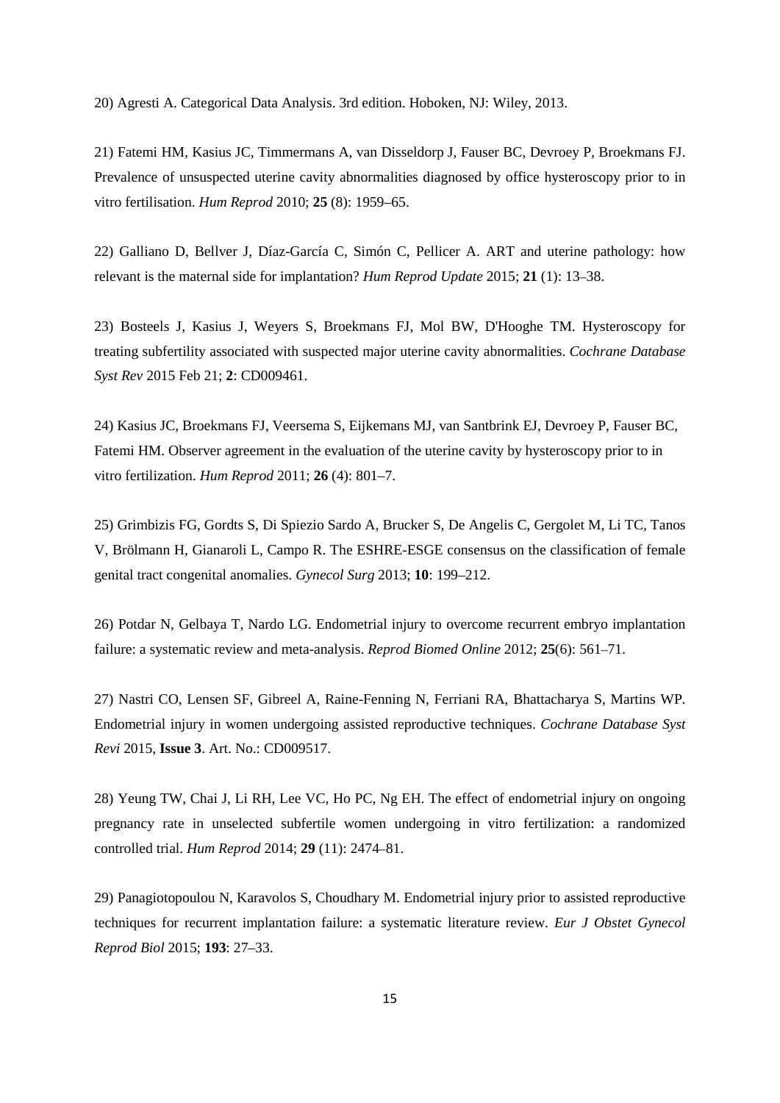20) Agresti A. Categorical Data Analysis. 3rd edition. Hoboken, NJ: Wiley, 2013.

21) Fatemi HM, Kasius JC, Timmermans A, van Disseldorp J, Fauser BC, Devroey P, Broekmans FJ. Prevalence of unsuspected uterine cavity abnormalities diagnosed by office hysteroscopy prior to in vitro fertilisation. *Hum Reprod* 2010; **25** (8): 1959–65.

22) Galliano D, Bellver J, Díaz-García C, Simón C, Pellicer A. ART and uterine pathology: how relevant is the maternal side for implantation? *Hum Reprod Update* 2015; **21** (1): 13–38.

23) Bosteels J, Kasius J, Weyers S, Broekmans FJ, Mol BW, D'Hooghe TM. Hysteroscopy for treating subfertility associated with suspected major uterine cavity abnormalities. *Cochrane Database Syst Rev* 2015 Feb 21; **2**: CD009461.

24) Kasius JC, Broekmans FJ, Veersema S, Eijkemans MJ, van Santbrink EJ, Devroey P, Fauser BC, Fatemi HM. Observer agreement in the evaluation of the uterine cavity by hysteroscopy prior to in vitro fertilization. *Hum Reprod* 2011; **26** (4): 801–7.

25) Grimbizis FG, Gordts S, Di Spiezio Sardo A, Brucker S, De Angelis C, Gergolet M, Li TC, Tanos V, Brölmann H, Gianaroli L, Campo R. The ESHRE-ESGE consensus on the classification of female genital tract congenital anomalies. *Gynecol Surg* 2013; **10**: 199–212.

26) Potdar N, Gelbaya T, Nardo LG. Endometrial injury to overcome recurrent embryo implantation failure: a systematic review and meta-analysis. *Reprod Biomed Online* 2012; **25**(6): 561–71.

27) Nastri CO, Lensen SF, Gibreel A, Raine-Fenning N, Ferriani RA, Bhattacharya S, Martins WP. Endometrial injury in women undergoing assisted reproductive techniques. *Cochrane Database Syst Revi* 2015, **Issue 3**. Art. No.: CD009517.

28) Yeung TW, Chai J, Li RH, Lee VC, Ho PC, Ng EH. The effect of endometrial injury on ongoing pregnancy rate in unselected subfertile women undergoing in vitro fertilization: a randomized controlled trial. *Hum Reprod* 2014; **29** (11): 2474–81.

29) Panagiotopoulou N, Karavolos S, Choudhary M. Endometrial injury prior to assisted reproductive techniques for recurrent implantation failure: a systematic literature review. *Eur J Obstet Gynecol Reprod Biol* 2015; **193**: 27–33.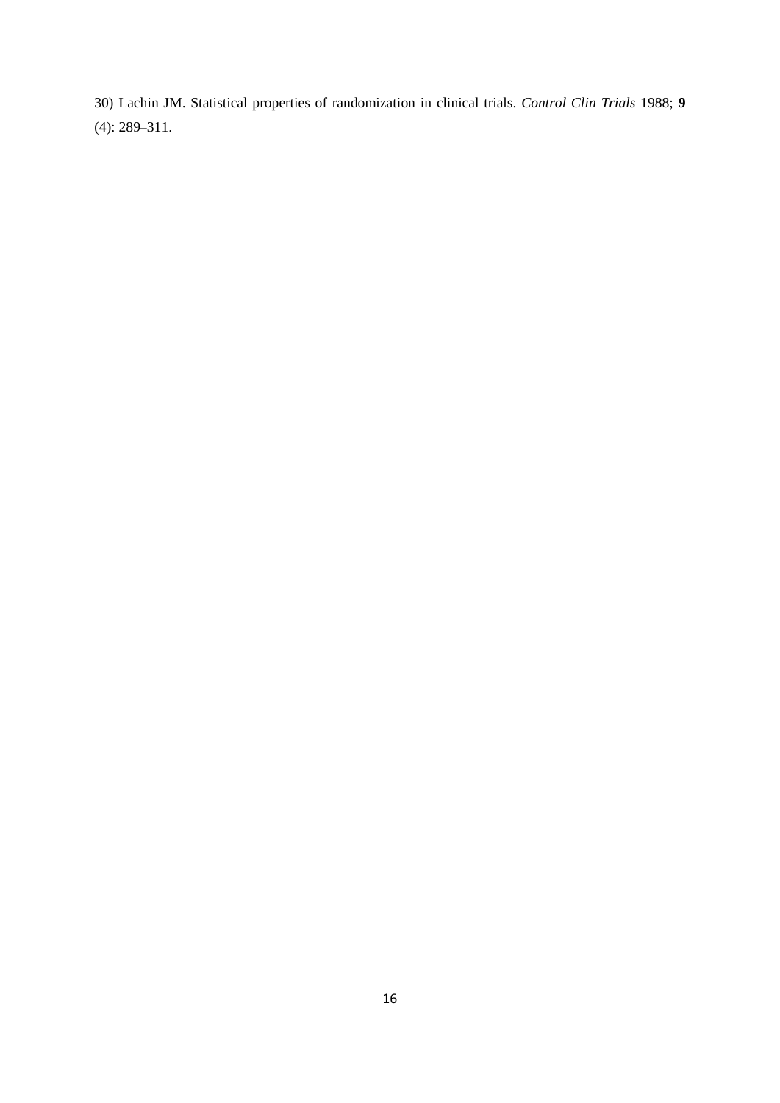30) Lachin JM. Statistical properties of randomization in clinical trials. *Control Clin Trials* 1988; **9** (4): 289–311.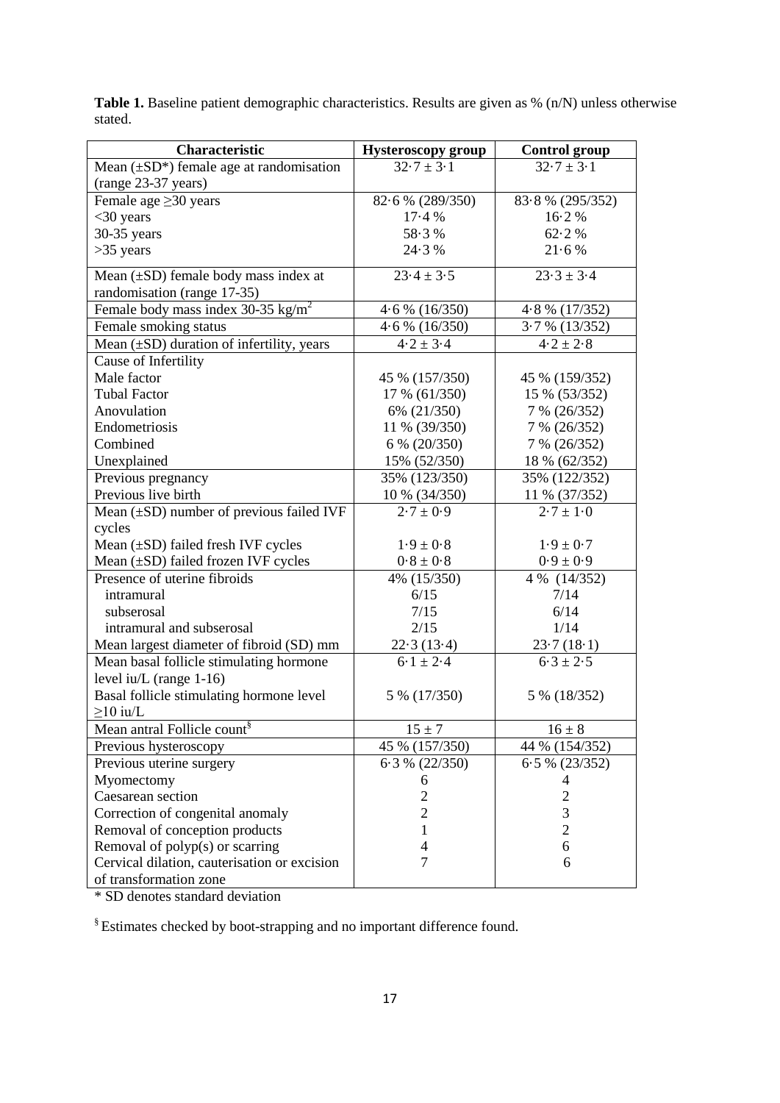| Characteristic                                 | <b>Hysteroscopy group</b> | <b>Control group</b> |
|------------------------------------------------|---------------------------|----------------------|
| Mean $(\pm SD^*)$ female age at randomisation  | $32.7 \pm 3.1$            | $32.7 \pm 3.1$       |
| (range 23-37 years)                            |                           |                      |
| Female age $\geq$ 30 years                     | 82.6 % (289/350)          | 83.8% (295/352)      |
| $<$ 30 years                                   | 17.4%                     | 16.2%                |
| 30-35 years                                    | 58.3%                     | 62.2%                |
| $>35$ years                                    | 24.3%                     | 21.6%                |
| Mean $(\pm SD)$ female body mass index at      | $23.4 \pm 3.5$            | $23.3 \pm 3.4$       |
| randomisation (range 17-35)                    |                           |                      |
| Female body mass index 30-35 kg/m <sup>2</sup> | $4.6\%$ (16/350)          | 4.8 % (17/352)       |
| Female smoking status                          | $4.6\%$ (16/350)          | $3.7\%$ (13/352)     |
| Mean $(\pm SD)$ duration of infertility, years | $4.2 \pm 3.4$             | $4.2 \pm 2.8$        |
| Cause of Infertility                           |                           |                      |
| Male factor                                    | 45 % (157/350)            | 45 % (159/352)       |
| <b>Tubal Factor</b>                            | 17 % (61/350)             | 15 % (53/352)        |
| Anovulation                                    | 6% (21/350)               | 7 % (26/352)         |
| Endometriosis                                  | 11 % (39/350)             | 7 % (26/352)         |
| Combined                                       | 6 % (20/350)              | 7 % (26/352)         |
| Unexplained                                    | 15% (52/350)              | 18 % (62/352)        |
| Previous pregnancy                             | 35% (123/350)             | 35% (122/352)        |
| Previous live birth                            | 10 % (34/350)             | 11 % (37/352)        |
| Mean $(\pm SD)$ number of previous failed IVF  | $2.7 \pm 0.9$             | $2.7 \pm 1.0$        |
| cycles                                         |                           |                      |
| Mean $(\pm SD)$ failed fresh IVF cycles        | $1.9 \pm 0.8$             | $1.9 \pm 0.7$        |
| Mean (±SD) failed frozen IVF cycles            | $0.8\pm0.8$               | $0.9 \pm 0.9$        |
| Presence of uterine fibroids                   | 4% (15/350)               | 4 % (14/352)         |
| intramural                                     | 6/15                      | 7/14                 |
| subserosal                                     | 7/15                      | 6/14                 |
| intramural and subserosal                      | 2/15                      | 1/14                 |
| Mean largest diameter of fibroid (SD) mm       | 22.3(13.4)                | 23.7(18.1)           |
| Mean basal follicle stimulating hormone        | $6.1 \pm 2.4$             | $6.3 \pm 2.5$        |
| level iu/L (range $1-16$ )                     |                           |                      |
| Basal follicle stimulating hormone level       | 5 % (17/350)              | 5 % (18/352)         |
| $\geq$ 10 iu/L                                 |                           |                      |
| Mean antral Follicle count <sup>8</sup>        | $15 \pm 7$                | $16 \pm 8$           |
| Previous hysteroscopy                          | 45 % (157/350)            | 44 % (154/352)       |
| Previous uterine surgery                       | $6.3 \% (22/350)$         | $6.5\%$ (23/352)     |
| Myomectomy                                     | 6                         | 4                    |
| Caesarean section                              | $\overline{c}$            | 2                    |
| Correction of congenital anomaly               | 2                         | 3                    |
| Removal of conception products                 | 1                         | $\overline{2}$       |
| Removal of polyp(s) or scarring                | $\overline{4}$            | 6                    |
| Cervical dilation, cauterisation or excision   | $\tau$                    | 6                    |
| of transformation zone                         |                           |                      |

**Table 1.** Baseline patient demographic characteristics. Results are given as % (n/N) unless otherwise stated.

\* SD denotes standard deviation

§ Estimates checked by boot-strapping and no important difference found.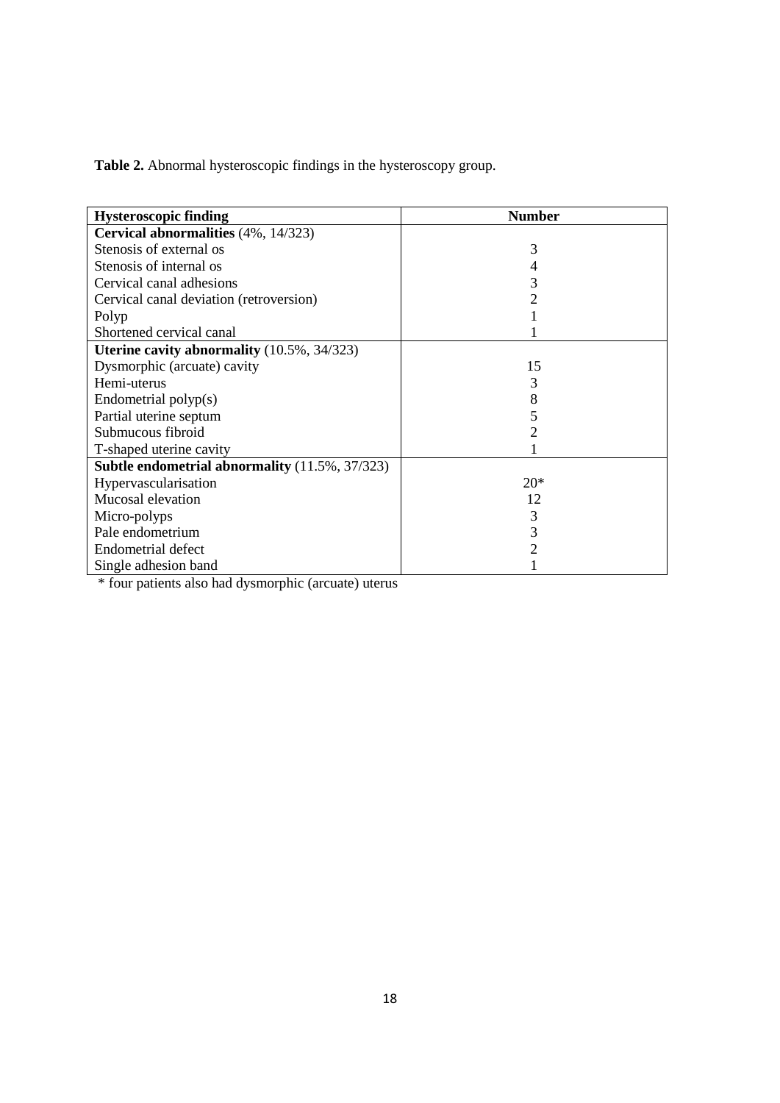**Table 2.** Abnormal hysteroscopic findings in the hysteroscopy group.

| <b>Hysteroscopic finding</b>                          | <b>Number</b> |
|-------------------------------------------------------|---------------|
| Cervical abnormalities (4%, 14/323)                   |               |
| Stenosis of external os                               | 3             |
| Stenosis of internal os                               | 4             |
| Cervical canal adhesions                              | 3             |
| Cervical canal deviation (retroversion)               |               |
| Polyp                                                 |               |
| Shortened cervical canal                              |               |
| Uterine cavity abnormality $(10.5\%, 34/323)$         |               |
| Dysmorphic (arcuate) cavity                           | 15            |
| Hemi-uterus                                           | 3             |
| Endometrial $\text{polyp}(s)$                         | 8             |
| Partial uterine septum                                | 5             |
| Submucous fibroid                                     |               |
| T-shaped uterine cavity                               |               |
| <b>Subtle endometrial abnormality</b> (11.5%, 37/323) |               |
| Hypervascularisation                                  | $20*$         |
| Mucosal elevation                                     | 12            |
| Micro-polyps                                          | 3             |
| Pale endometrium                                      | 3             |
| <b>Endometrial defect</b>                             | 2             |
| Single adhesion band                                  |               |

\* four patients also had dysmorphic (arcuate) uterus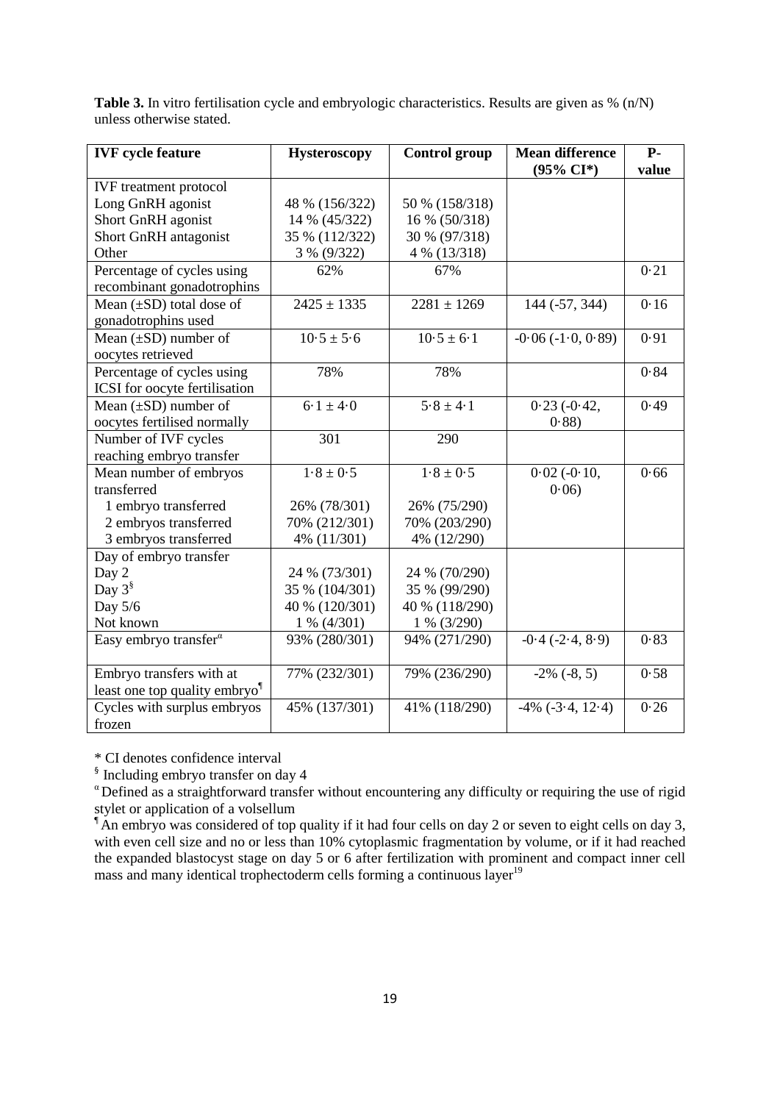| <b>IVF</b> cycle feature                  | <b>Hysteroscopy</b>                   | <b>Control group</b>      | <b>Mean difference</b> | $P-$  |
|-------------------------------------------|---------------------------------------|---------------------------|------------------------|-------|
|                                           |                                       |                           | $(95\% \text{ CI*})$   | value |
| <b>IVF</b> treatment protocol             |                                       |                           |                        |       |
| Long GnRH agonist                         | 48 % (156/322)                        | 50 % (158/318)            |                        |       |
| Short GnRH agonist                        | 14 % (45/322)                         | 16 % (50/318)             |                        |       |
| <b>Short GnRH</b> antagonist              | 35 % (112/322)                        | 30 % (97/318)             |                        |       |
| Other                                     | 3 % (9/322)                           | 4 % (13/318)              |                        |       |
| Percentage of cycles using                | 62%<br>67%                            |                           |                        | 0.21  |
| recombinant gonadotrophins                |                                       |                           |                        |       |
| Mean $(\pm SD)$ total dose of             | $\frac{2425 \pm 1335}{2425 \pm 1335}$ | $\frac{2281 \pm 1269}{ }$ | $144 (-57, 344)$       | 0.16  |
| gonadotrophins used                       |                                       |                           |                        |       |
| Mean $(\pm SD)$ number of                 | $10.5 \pm 5.6$                        | $10.5 \pm 6.1$            | $-0.06(-1.0, 0.89)$    | 0.91  |
| oocytes retrieved                         |                                       |                           |                        |       |
| Percentage of cycles using                | 78%                                   | 78%                       |                        | 0.84  |
| ICSI for oocyte fertilisation             |                                       |                           |                        |       |
| Mean $(\pm SD)$ number of                 | $6.1 \pm 4.0$                         | $5.8 \pm 4.1$             | $0.23(-0.42,$          | 0.49  |
| oocytes fertilised normally               |                                       |                           | 0.88                   |       |
| Number of IVF cycles                      | 301                                   | 290                       |                        |       |
| reaching embryo transfer                  |                                       |                           |                        |       |
| Mean number of embryos                    | $1.8 \pm 0.5$                         | $1.8 \pm 0.5$             | $0.02$ ( $-0.10$ )     | 0.66  |
| transferred                               |                                       |                           | 0.06                   |       |
| 1 embryo transferred                      | 26% (78/301)                          | 26% (75/290)              |                        |       |
| 2 embryos transferred                     | 70% (212/301)                         | 70% (203/290)             |                        |       |
| 3 embryos transferred                     | 4% (11/301)                           | 4% (12/290)               |                        |       |
| Day of embryo transfer                    |                                       |                           |                        |       |
| Day 2                                     | 24 % (73/301)                         | 24 % (70/290)             |                        |       |
| Day $3^{\S}$                              | 35 % (104/301)                        | 35 % (99/290)             |                        |       |
| Day 5/6                                   | 40 % (120/301)                        | 40 % (118/290)            |                        |       |
| Not known                                 | $1\% (4/301)$                         | $1\%$ (3/290)             |                        |       |
| Easy embryo transfer <sup>a</sup>         | 93% (280/301)                         | 94% (271/290)             | $-0.4$ $(-2.4, 8.9)$   | 0.83  |
|                                           |                                       |                           |                        |       |
| Embryo transfers with at                  | 77% (232/301)                         | 79% (236/290)             | $-2\%$ $(-8, 5)$       | 0.58  |
| least one top quality embryo <sup>1</sup> |                                       |                           |                        |       |
| Cycles with surplus embryos               | 45% (137/301)                         | 41% (118/290)             | $-4\%$ $(-3.4, 12.4)$  | 0.26  |
| frozen                                    |                                       |                           |                        |       |

**Table 3.** In vitro fertilisation cycle and embryologic characteristics. Results are given as % (n/N) unless otherwise stated.

\* CI denotes confidence interval

§ Including embryo transfer on day 4

<sup>α</sup> Defined as a straightforward transfer without encountering any difficulty or requiring the use of rigid stylet or application of a volsellum

An embryo was considered of top quality if it had four cells on day 2 or seven to eight cells on day 3, with even cell size and no or less than 10% cytoplasmic fragmentation by volume, or if it had reached the expanded blastocyst stage on day 5 or 6 after fertilization with prominent and compact inner cell mass and many identical trophectoderm cells forming a continuous layer<sup>19</sup>